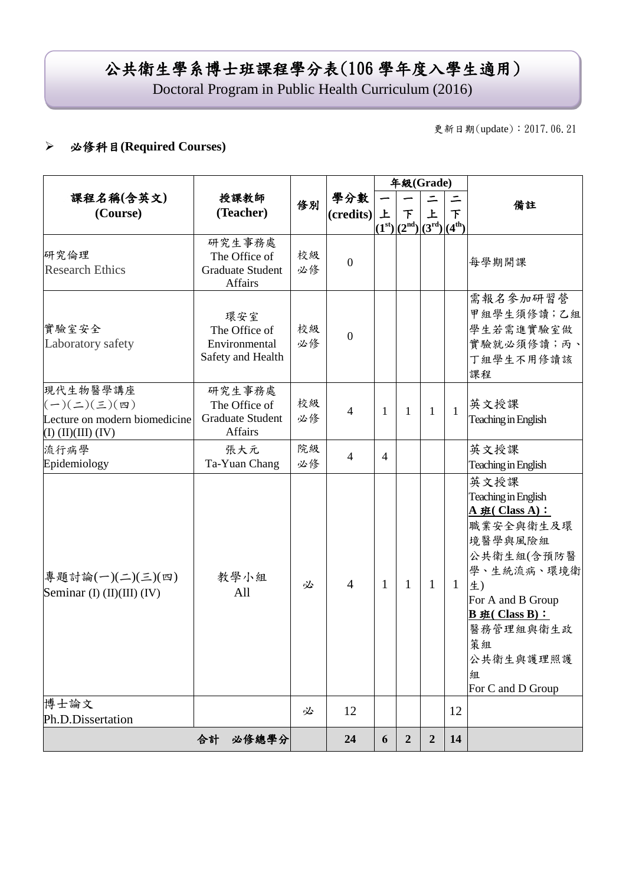# 公共衛生學系博士班課程學分表(106 學年度入學生適用)

Doctoral Program in Public Health Curriculum (2016)

更新日期(update):2017.06.21

### 必修科目**(Required Courses)**

|                                                                                                          |                                                               |          |                       | 年級(Grade)    |                                 |                |                          |                                                                                                                                                                                                                   |
|----------------------------------------------------------------------------------------------------------|---------------------------------------------------------------|----------|-----------------------|--------------|---------------------------------|----------------|--------------------------|-------------------------------------------------------------------------------------------------------------------------------------------------------------------------------------------------------------------|
| 課程名稱(含英文)<br>(Course)                                                                                    | 授課教師<br>(Teacher)                                             | 修別       | 學分數<br>(credits)<br>上 |              | 下<br>$(1st)[(2nd)](3rd)[(4th)]$ | 上              | $\overline{\mathcal{F}}$ | 備註                                                                                                                                                                                                                |
| 研究倫理<br><b>Research Ethics</b>                                                                           | 研究生事務處<br>The Office of<br><b>Graduate Student</b><br>Affairs | 校級<br>必修 | $\overline{0}$        |              |                                 |                |                          | 每學期開課                                                                                                                                                                                                             |
| 實驗室安全<br>Laboratory safety                                                                               | 環安室<br>The Office of<br>Environmental<br>Safety and Health    | 校級<br>必修 | $\overline{0}$        |              |                                 |                |                          | 需報名參加研習營<br>甲組學生須修讀;乙組<br>學生若需進實驗室做<br>實驗就必須修讀;丙、<br>丁組學生不用修讀該<br>課程                                                                                                                                              |
| 現代生物醫學講座<br>$(-)(\leq)(\leq)(\mathfrak{m})$<br>Lecture on modern biomedicine<br>$(I)$ $(II)(III)$ $(IV)$ | 研究生事務處<br>The Office of<br><b>Graduate Student</b><br>Affairs | 校級<br>必修 | $\overline{4}$        | $\mathbf{1}$ | 1                               | 1              | $\mathbf{1}$             | 英文授課<br>Teaching in English                                                                                                                                                                                       |
| 流行病學<br>Epidemiology                                                                                     | 張大元<br>Ta-Yuan Chang                                          | 院級<br>必修 | $\overline{4}$        | 4            |                                 |                |                          | 英文授課<br>Teaching in English                                                                                                                                                                                       |
| 專題討論(一)(二)(三)(四)<br>Seminar (I) (II)(III) (IV)                                                           | 教學小組<br>All                                                   | 必        | $\overline{4}$        | 1            | 1                               | 1              | $\mathbf{1}$             | 英文授課<br>Teaching in English<br>$A \# (Class A)$ :<br>職業安全與衛生及環<br>境醫學與風險組<br>公共衛生組(含預防醫<br>學、生統流病、環境衛<br>生)<br>For A and B Group<br>$B \# ( Class B) :$<br>醫務管理組與衛生政<br>策組<br>公共衛生與護理照護<br>組<br>For C and D Group |
| 博士論文<br>Ph.D.Dissertation                                                                                |                                                               | 必        | 12                    |              |                                 |                | 12                       |                                                                                                                                                                                                                   |
|                                                                                                          | 合計<br>必修總學分                                                   |          | 24                    | 6            | $\boldsymbol{2}$                | $\overline{2}$ | 14                       |                                                                                                                                                                                                                   |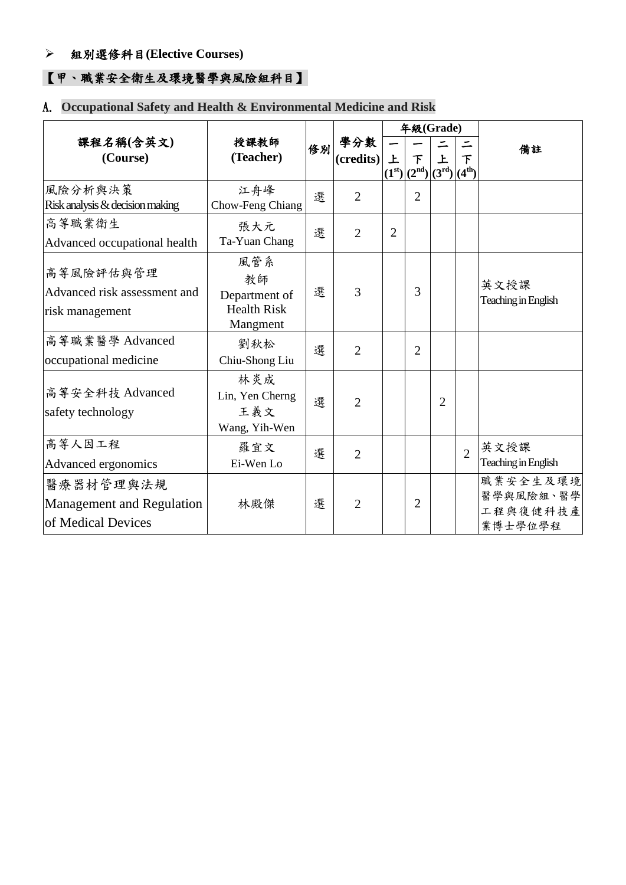### 組別選修科目**(Elective Courses)**

## 【甲、職業安全衛生及環境醫學與風險組科目】

## A. **Occupational Safety and Health & Environmental Medicine and Risk**

|                                                                     |                                                  |   |                | 年級(Grade)          |            |                               |                |                                              |  |
|---------------------------------------------------------------------|--------------------------------------------------|---|----------------|--------------------|------------|-------------------------------|----------------|----------------------------------------------|--|
| 課程名稱(含英文)<br>(Course)                                               | 授課教師<br>修別<br>(Teacher)                          |   | 學分數<br>$( )$   | 上<br>下             |            | 上                             | 下              | 備註                                           |  |
|                                                                     |                                                  |   |                | (1 <sup>st</sup> ) | $(2^{nd})$ | $(3^{\rm rd})$ $(4^{\rm th})$ |                |                                              |  |
| 風險分析與決策<br>Risk analysis & decision making                          | 江舟峰<br>Chow-Feng Chiang                          | 選 | $\overline{2}$ |                    | 2          |                               |                |                                              |  |
| 高等職業衛生                                                              | 張大元                                              | 選 | $\overline{2}$ | $\overline{2}$     |            |                               |                |                                              |  |
| Advanced occupational health                                        | Ta-Yuan Chang                                    |   |                |                    |            |                               |                |                                              |  |
| 高等風險評估與管理<br>Advanced risk assessment and<br>risk management        | 風管系<br>教師<br>Department of<br><b>Health Risk</b> | 選 | 3              |                    | 3          |                               |                | 英文授課<br>Teaching in English                  |  |
|                                                                     | Mangment                                         |   |                |                    |            |                               |                |                                              |  |
| 高等職業醫學 Advanced                                                     | 劉秋松                                              | 選 | $\overline{2}$ |                    | 2          |                               |                |                                              |  |
| occupational medicine                                               | Chiu-Shong Liu                                   |   |                |                    |            |                               |                |                                              |  |
| 高等安全科技 Advanced<br>safety technology                                | 林炎成<br>Lin, Yen Cherng<br>王義文<br>Wang, Yih-Wen   | 選 | $\overline{2}$ |                    |            | $\overline{2}$                |                |                                              |  |
| 高等人因工程<br>Advanced ergonomics                                       | 羅宜文<br>Ei-Wen Lo                                 | 選 | $\overline{2}$ |                    |            |                               | $\overline{2}$ | 英文授課<br>Teaching in English                  |  |
| 醫療器材管理與法規<br><b>Management and Regulation</b><br>of Medical Devices | 林殿傑                                              | 選 | $\overline{2}$ |                    | 2          |                               |                | 職業安全生及環境<br>醫學與風險組、醫學<br>工程與復健科技產<br>業博士學位學程 |  |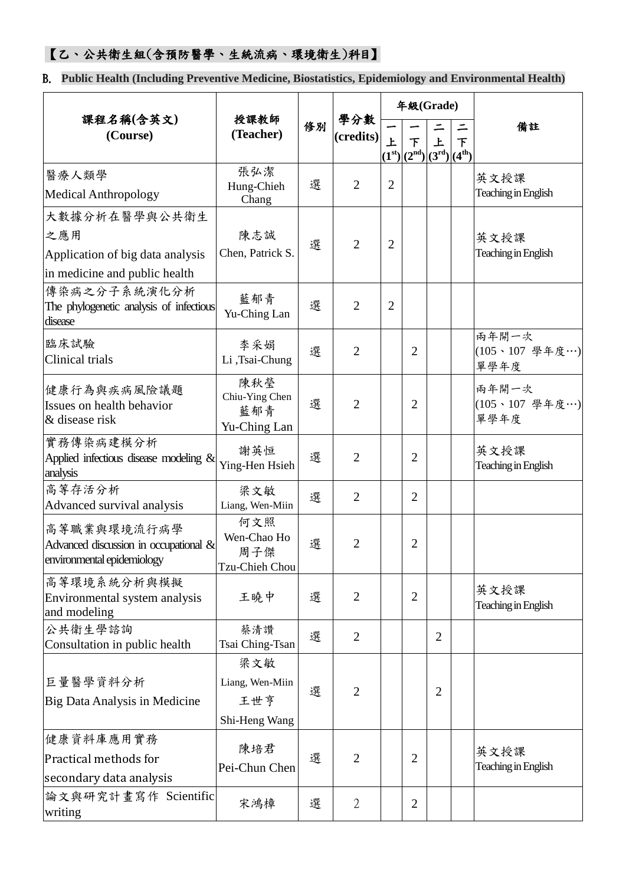## 【乙、公共衛生組(含預防醫學、生統流病、環境衛生)科目】

B. **Public Health (Including Preventive Medicine, Biostatistics, Epidemiology and Environmental Health)**

|                                                                                           | 授課教師                                           |    |                | 年級(Grade)      |                                           |                         |                                                    |                                 |
|-------------------------------------------------------------------------------------------|------------------------------------------------|----|----------------|----------------|-------------------------------------------|-------------------------|----------------------------------------------------|---------------------------------|
| 課程名稱(含英文)<br>(Course)                                                                     | (Teacher)                                      | 修別 | 學分數<br>$( )$   | $\overline{r}$ | 下<br>(1 <sup>st</sup> )(2 <sup>nd</sup> ) | 上<br>(3 <sup>rd</sup> ) | ⋍<br>$\overline{\mathsf{F}}$<br>(4 <sup>th</sup> ) | 備註                              |
| 醫療人類學<br><b>Medical Anthropology</b>                                                      | 張弘潔<br>Hung-Chieh<br>Chang                     | 選  | $\overline{2}$ | $\overline{2}$ |                                           |                         |                                                    | 英文授課<br>Teaching in English     |
| 大數據分析在醫學與公共衛生<br>之應用<br>Application of big data analysis<br>in medicine and public health | 陳志誠<br>Chen, Patrick S.                        | 選  | $\overline{2}$ | $\overline{2}$ |                                           |                         |                                                    | 英文授課<br>Teaching in English     |
| 傳染病之分子系統演化分析<br>The phylogenetic analysis of infectious<br>disease                        | 藍郁青<br>Yu-Ching Lan                            | 選  | $\overline{2}$ | $\overline{2}$ |                                           |                         |                                                    |                                 |
| 臨床試驗<br>Clinical trials                                                                   | 李采娟<br>Li,Tsai-Chung                           | 選  | $\overline{2}$ |                | $\overline{2}$                            |                         |                                                    | 兩年開一次<br>(105、107 學年度…)<br>單學年度 |
| 健康行為與疾病風險議題<br>Issues on health behavior<br>& disease risk                                | 陳秋瑩<br>Chiu-Ying Chen<br>藍郁青<br>Yu-Ching Lan   | 選  | $\overline{2}$ |                | $\overline{2}$                            |                         |                                                    | 兩年開一次<br>(105、107 學年度…)<br>單學年度 |
| 實務傳染病建模分析<br>Applied infectious disease modeling $&$<br>analysis                          | 謝英恒<br>Ying-Hen Hsieh                          | 選  | $\overline{2}$ |                | $\overline{2}$                            |                         |                                                    | 英文授課<br>Teaching in English     |
| 高等存活分析<br>Advanced survival analysis                                                      | 梁文敏<br>Liang, Wen-Miin                         | 選  | $\overline{2}$ |                | $\overline{2}$                            |                         |                                                    |                                 |
| 高等職業與環境流行病學<br>Advanced discussion in occupational &<br>environmental epidemiology        | 何文照<br>Wen-Chao Ho<br>周子傑<br>Tzu-Chieh Chou    | 選  | $\overline{2}$ |                | $\overline{2}$                            |                         |                                                    |                                 |
| 高等環境系統分析與模擬<br>Environmental system analysis<br>and modeling                              | 王曉中                                            | 選  | $\overline{2}$ |                | $\overline{2}$                            |                         |                                                    | 英文授課<br>Teaching in English     |
| 公共衛生學諮詢<br>Consultation in public health                                                  | 蔡清讚<br>Tsai Ching-Tsan                         | 選  | $\overline{2}$ |                |                                           | $\overline{2}$          |                                                    |                                 |
| 巨量醫學資料分析<br>Big Data Analysis in Medicine                                                 | 梁文敏<br>Liang, Wen-Miin<br>王世亨<br>Shi-Heng Wang | 選  | $\overline{2}$ |                |                                           | $\overline{2}$          |                                                    |                                 |
| 健康資料庫應用實務<br>Practical methods for<br>secondary data analysis                             | 陳培君<br>Pei-Chun Chen                           | 選  | $\overline{2}$ |                | 2                                         |                         |                                                    | 英文授課<br>Teaching in English     |
| 論文與研究計畫寫作 Scientific<br>writing                                                           | 宋鴻樟                                            | 選  | $\overline{2}$ |                | $\overline{2}$                            |                         |                                                    |                                 |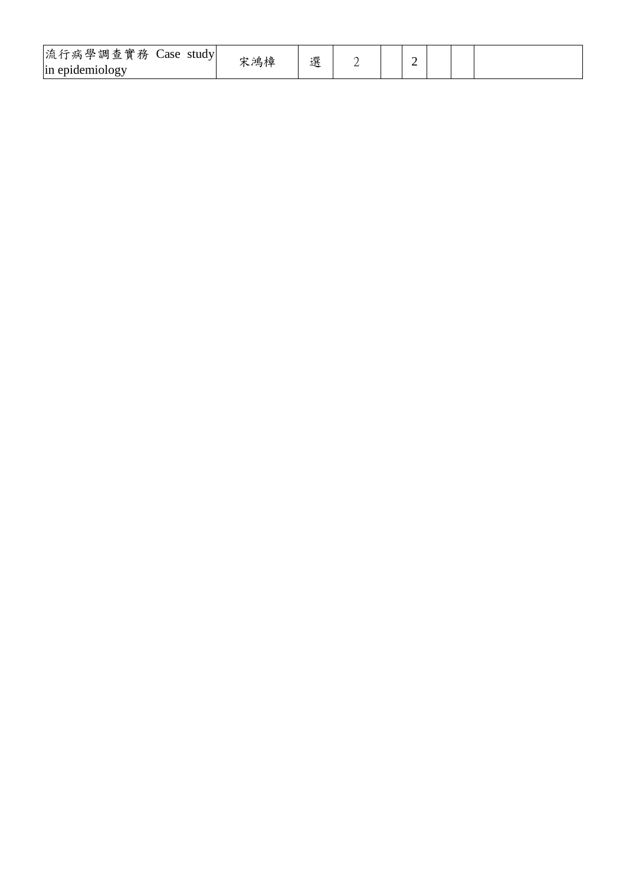| 流行病學調查實務<br>$\sim$<br>$\angle$ ase<br>study<br>In epidemiology<br>J. | 宋鴻樟 | 選 |  |  | ∼ |  |  |  |
|----------------------------------------------------------------------|-----|---|--|--|---|--|--|--|
|----------------------------------------------------------------------|-----|---|--|--|---|--|--|--|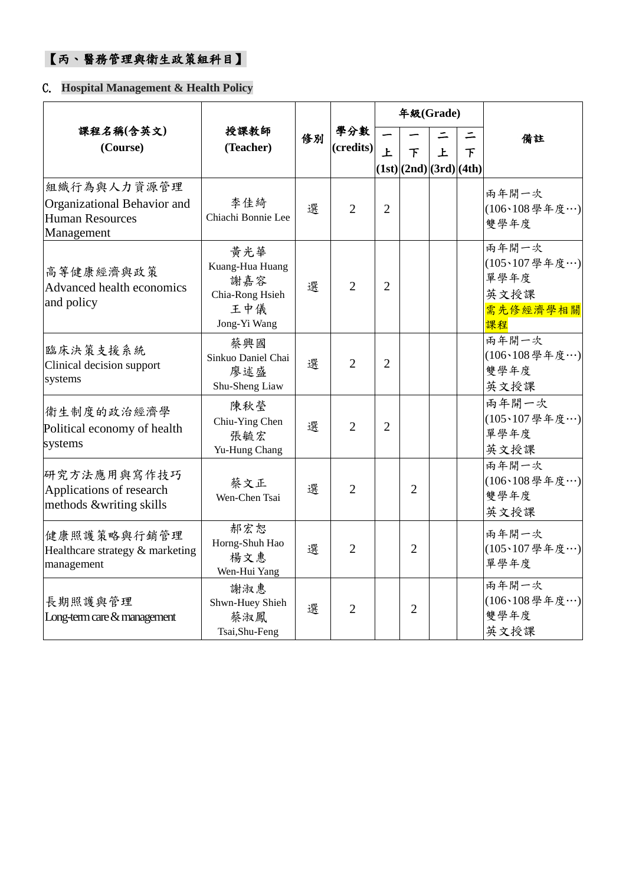## 【丙、醫務管理與衛生政策組科目】

### C. **Hospital Management & Health Policy**

|                                                                                    |                                                                         |                     |                  |                                        | 年級(Grade)                    |   |                                |                                                          |
|------------------------------------------------------------------------------------|-------------------------------------------------------------------------|---------------------|------------------|----------------------------------------|------------------------------|---|--------------------------------|----------------------------------------------------------|
| 課程名稱(含英文)<br>(Course)                                                              | 授課教師<br>(Teacher)                                                       | 修別                  | 學分數<br>(credits) | 上                                      | 下<br>(1st) (2nd) (3rd) (4th) | 上 | ⋍<br>下                         | 備註                                                       |
| 組織行為與人力資源管理<br>Organizational Behavior and<br><b>Human Resources</b><br>Management | 李佳綺<br>Chiachi Bonnie Lee                                               | 選                   | $\overline{2}$   | $\overline{2}$                         |                              |   |                                | 兩年開一次<br>(106、108學年度…)<br>雙學年度                           |
| 高等健康經濟與政策<br>Advanced health economics<br>and policy                               | 黄光華<br>Kuang-Hua Huang<br>謝嘉容<br>Chia-Rong Hsieh<br>王中儀<br>Jong-Yi Wang | 選                   | $\overline{2}$   | $\overline{2}$                         |                              |   |                                | 雨年開一次<br>(105、107學年度…)<br>單學年度<br>英文授課<br>需先修經濟學相關<br>課程 |
| 臨床決策支援系統<br>Clinical decision support<br>systems                                   | 蔡興國<br>Sinkuo Daniel Chai<br>廖述盛<br>Shu-Sheng Liaw                      | 選<br>$\overline{2}$ |                  | $\overline{2}$                         |                              |   |                                | 兩年開一次<br>(106、108學年度…)<br>雙學年度<br>英文授課                   |
| 衛生制度的政治經濟學<br>Political economy of health<br>systems                               | 陳秋瑩<br>Chiu-Ying Chen<br>張毓宏<br>Yu-Hung Chang                           | 選                   | $\overline{2}$   | $\overline{2}$                         |                              |   |                                | 雨年開一次<br>(105、107學年度…)<br>單學年度<br>英文授課                   |
| 研究方法應用與寫作技巧<br>Applications of research<br>methods &writing skills                 | 蔡文正<br>選<br>$\overline{2}$<br>$\overline{2}$<br>Wen-Chen Tsai           |                     |                  | 兩年開一次<br>(106、108學年度…)<br>雙學年度<br>英文授課 |                              |   |                                |                                                          |
| 健康照護策略與行銷管理<br>Healthcare strategy & marketing<br>management                       | 郝宏恕<br>Horng-Shuh Hao<br>楊文惠<br>Wen-Hui Yang                            | 選<br>$\overline{2}$ |                  | $\overline{2}$                         |                              |   | 兩年開一次<br>(105、107學年度…)<br>單學年度 |                                                          |
| 長期照護與管理<br>Long-term care & management                                             | 謝淑惠<br>Shwn-Huey Shieh<br>蔡淑鳳<br>Tsai, Shu-Feng                         | 選                   | $\overline{2}$   |                                        | $\overline{2}$               |   |                                | 雨年開一次<br>(106、108學年度…)<br>雙學年度<br>英文授課                   |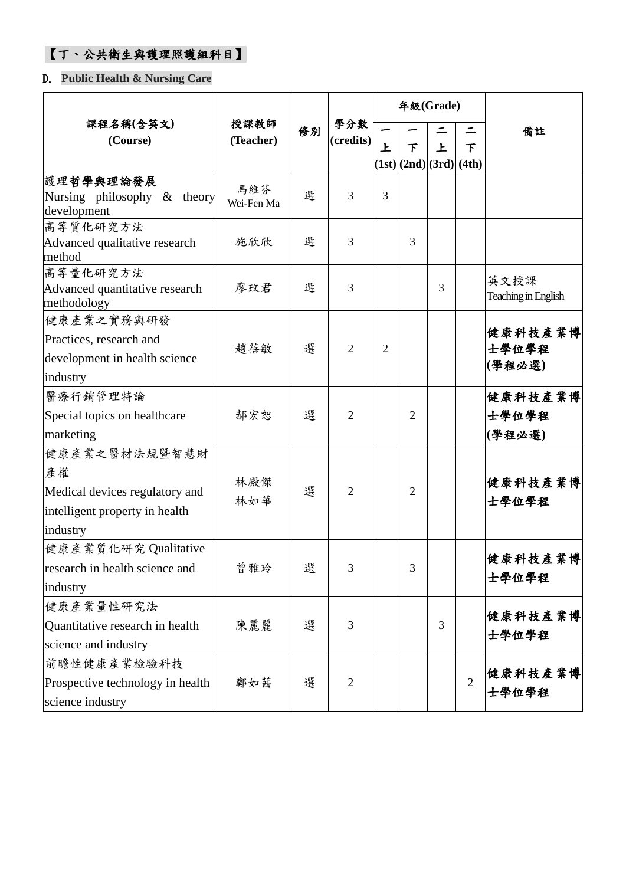## 【丁、公共衛生與護理照護組科目】

### D. **Public Health & Nursing Care**

|                                                                                                     |                   |    |                  |                |                | 年級(Grade)               |                |                             |
|-----------------------------------------------------------------------------------------------------|-------------------|----|------------------|----------------|----------------|-------------------------|----------------|-----------------------------|
| 課程名稱(含英文)<br>(Course)                                                                               | 授課教師<br>(Teacher) | 修別 | 學分數<br>(credits) | 上              | 下              | 上                       | 下              | 備註                          |
|                                                                                                     |                   |    |                  |                |                | (1st) (2nd) (3rd) (4th) |                |                             |
| 護理哲學與理論發展<br>Nursing philosophy & theory<br>development                                             | 馬維芬<br>Wei-Fen Ma | 選  | 3                | 3              |                |                         |                |                             |
| 高等質化研究方法<br>Advanced qualitative research<br>method                                                 | 施欣欣               | 選  | 3                |                | 3              |                         |                |                             |
| 高等量化研究方法<br>Advanced quantitative research<br>methodology                                           | 廖玟君               | 選  | 3                |                |                | 3                       |                | 英文授課<br>Teaching in English |
| 健康產業之實務與研發<br>Practices, research and<br>development in health science<br>industry                  | 趙蓓敏               | 選  | 2                | $\overline{2}$ |                |                         |                | 健康科技產業博<br>士學位學程<br>(學程必選)  |
| 醫療行銷管理特論<br>Special topics on healthcare<br>marketing                                               | 郝宏恕               | 選  | $\overline{2}$   |                | $\overline{2}$ |                         |                | 健康科技產業博<br>士學位學程<br>(學程必選)  |
| 健康產業之醫材法規暨智慧財<br>產權<br>Medical devices regulatory and<br>intelligent property in health<br>industry | 林殿傑<br>林如華        | 選  | 2                |                | 2              |                         |                | 健康科技產業博<br>士學位學程            |
| 健康產業質化研究 Qualitative<br>research in health science and<br>industry                                  | 曾雅玲               | 選  | 3                |                | 3              |                         |                | 健康科技產業博<br>士學位學程            |
| 健康產業量性研究法<br>Quantitative research in health<br>science and industry                                | 陳麗麗               | 選  | 3                |                |                | 3                       |                | 健康科技產業博<br>士學位學程            |
| 前瞻性健康產業檢驗科技<br>Prospective technology in health<br>science industry                                 | 鄭如茜               | 選  | $\overline{2}$   |                |                |                         | $\overline{2}$ | 健康科技產業博<br>士學位學程            |